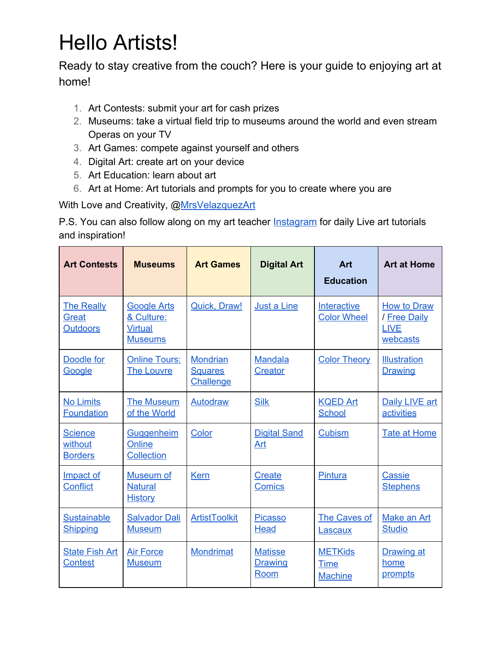## Hello Artists!

Ready to stay creative from the couch? Here is your guide to enjoying art at home!

- 1. Art Contests: submit your art for cash prizes
- 2. Museums: take a virtual field trip to museums around the world and even stream Operas on your TV
- 3. Art Games: compete against yourself and others
- 4. Digital Art: create art on your device
- 5. Art Education: learn about art
- 6. Art at Home: Art tutorials and prompts for you to create where you are

With Love and Creativity, @[MrsVelazquezArt](https://www.instagram.com/mrsvelazquezart/?hl=en)

P.S. You can also follow along on my art teacher **[Instagram](https://www.instagram.com/mrsvelazquezart/?hl=en)** for daily Live art tutorials and inspiration!

| <b>Art Contests</b>                                  | <b>Museums</b>                                                       | <b>Art Games</b>                               | <b>Digital Art</b>                | Art<br><b>Education</b>                         | <b>Art at Home</b>                                     |
|------------------------------------------------------|----------------------------------------------------------------------|------------------------------------------------|-----------------------------------|-------------------------------------------------|--------------------------------------------------------|
| <b>The Really</b><br><b>Great</b><br><b>Outdoors</b> | <b>Google Arts</b><br>& Culture:<br><b>Virtual</b><br><b>Museums</b> | <b>Quick, Draw!</b>                            | Just a Line                       | <b>Interactive</b><br><b>Color Wheel</b>        | How to Draw<br>/ Free Daily<br><b>LIVE</b><br>webcasts |
| Doodle for<br>Google                                 | <b>Online Tours:</b><br><b>The Louvre</b>                            | <b>Mondrian</b><br><b>Squares</b><br>Challenge | <b>Mandala</b><br><b>Creator</b>  | <b>Color Theory</b>                             | <b>Illustration</b><br><b>Drawing</b>                  |
| <b>No Limits</b><br><b>Foundation</b>                | <b>The Museum</b><br>of the World                                    | Autodraw                                       | <b>Silk</b>                       | <b>KQED Art</b><br><b>School</b>                | Daily LIVE art<br>activities                           |
| <b>Science</b><br>without<br><b>Borders</b>          | Guggenheim<br>Online<br><b>Collection</b>                            | Color                                          | <b>Digital Sand</b><br>Art        | <b>Cubism</b>                                   | <b>Tate at Home</b>                                    |
| Impact of<br><b>Conflict</b>                         | Museum of<br><b>Natural</b><br><b>History</b>                        | <b>Kern</b>                                    | <b>Create</b><br><b>Comics</b>    | Pintura                                         | <b>Cassie</b><br><b>Stephens</b>                       |
| <b>Sustainable</b><br><b>Shipping</b>                | <b>Salvador Dali</b><br><b>Museum</b>                                | <b>ArtistToolkit</b>                           | <b>Picasso</b><br><b>Head</b>     | The Caves of<br>Lascaux                         | Make an Art<br><b>Studio</b>                           |
| <b>State Fish Art</b><br><b>Contest</b>              | <b>Air Force</b><br><b>Museum</b>                                    | <b>Mondrimat</b>                               | <b>Matisse</b><br>Drawing<br>Room | <b>METKids</b><br><b>Time</b><br><b>Machine</b> | <b>Drawing at</b><br>home<br>prompts                   |